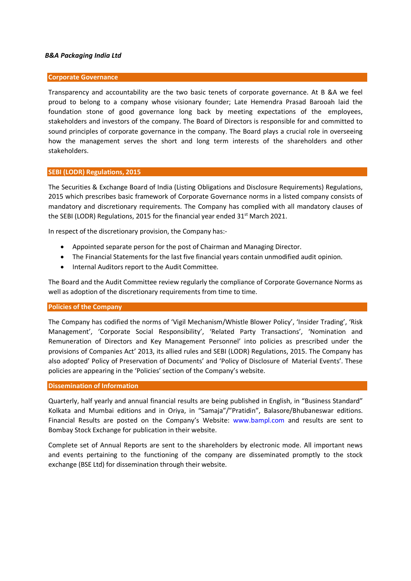#### B&A Packaging India Ltd

#### Corporate Governance

Transparency and accountability are the two basic tenets of corporate governance. At B &A we feel proud to belong to a company whose visionary founder; Late Hemendra Prasad Barooah laid the foundation stone of good governance long back by meeting expectations of the employees, stakeholders and investors of the company. The Board of Directors is responsible for and committed to sound principles of corporate governance in the company. The Board plays a crucial role in overseeing how the management serves the short and long term interests of the shareholders and other stakeholders.

#### SEBI (LODR) Regulations, 2015

The Securities & Exchange Board of India (Listing Obligations and Disclosure Requirements) Regulations, 2015 which prescribes basic framework of Corporate Governance norms in a listed company consists of mandatory and discretionary requirements. The Company has complied with all mandatory clauses of the SEBI (LODR) Regulations, 2015 for the financial year ended  $31<sup>st</sup>$  March 2021.

In respect of the discretionary provision, the Company has:-

- Appointed separate person for the post of Chairman and Managing Director.
- The Financial Statements for the last five financial years contain unmodified audit opinion.
- Internal Auditors report to the Audit Committee.

The Board and the Audit Committee review regularly the compliance of Corporate Governance Norms as well as adoption of the discretionary requirements from time to time.

#### Policies of the Company

The Company has codified the norms of 'Vigil Mechanism/Whistle Blower Policy', 'Insider Trading', 'Risk Management', 'Corporate Social Responsibility', 'Related Party Transactions', 'Nomination and Remuneration of Directors and Key Management Personnel' into policies as prescribed under the provisions of Companies Act' 2013, its allied rules and SEBI (LODR) Regulations, 2015. The Company has also adopted' Policy of Preservation of Documents' and 'Policy of Disclosure of Material Events'. These policies are appearing in the 'Policies' section of the Company's website.

#### Dissemination of Information

Quarterly, half yearly and annual financial results are being published in English, in "Business Standard" Kolkata and Mumbai editions and in Oriya, in "Samaja"/"Pratidin", Balasore/Bhubaneswar editions. Financial Results are posted on the Company's Website: www.bampl.com and results are sent to Bombay Stock Exchange for publication in their website.

Complete set of Annual Reports are sent to the shareholders by electronic mode. All important news and events pertaining to the functioning of the company are disseminated promptly to the stock exchange (BSE Ltd) for dissemination through their website.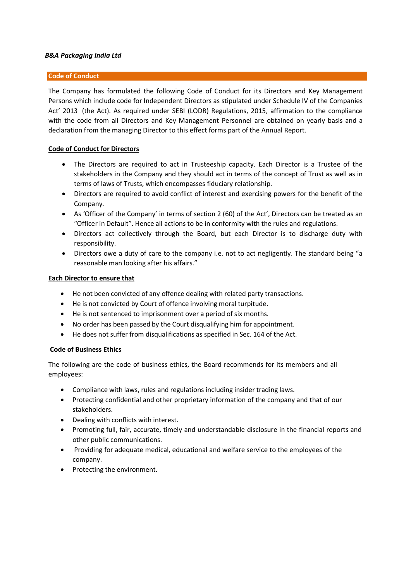## B&A Packaging India Ltd

### Code of Conduct

The Company has formulated the following Code of Conduct for its Directors and Key Management Persons which include code for Independent Directors as stipulated under Schedule IV of the Companies Act' 2013 (the Act). As required under SEBI (LODR) Regulations, 2015, affirmation to the compliance with the code from all Directors and Key Management Personnel are obtained on yearly basis and a declaration from the managing Director to this effect forms part of the Annual Report.

## Code of Conduct for Directors

- The Directors are required to act in Trusteeship capacity. Each Director is a Trustee of the stakeholders in the Company and they should act in terms of the concept of Trust as well as in terms of laws of Trusts, which encompasses fiduciary relationship.
- Directors are required to avoid conflict of interest and exercising powers for the benefit of the Company.
- As 'Officer of the Company' in terms of section 2 (60) of the Act', Directors can be treated as an "Officer in Default". Hence all actions to be in conformity with the rules and regulations.
- Directors act collectively through the Board, but each Director is to discharge duty with responsibility.
- Directors owe a duty of care to the company i.e. not to act negligently. The standard being "a reasonable man looking after his affairs."

#### Each Director to ensure that

- He not been convicted of any offence dealing with related party transactions.
- He is not convicted by Court of offence involving moral turpitude.
- He is not sentenced to imprisonment over a period of six months.
- No order has been passed by the Court disqualifying him for appointment.
- He does not suffer from disqualifications as specified in Sec. 164 of the Act.

### Code of Business Ethics

The following are the code of business ethics, the Board recommends for its members and all employees:

- Compliance with laws, rules and regulations including insider trading laws.
- Protecting confidential and other proprietary information of the company and that of our stakeholders.
- Dealing with conflicts with interest.
- Promoting full, fair, accurate, timely and understandable disclosure in the financial reports and other public communications.
- Providing for adequate medical, educational and welfare service to the employees of the company.
- Protecting the environment.